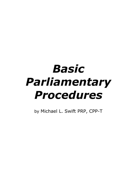by Michael L. Swift PRP, CPP-T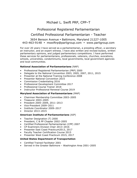## Michael L. Swift PRP, CPP–T

## Professional Registered Parliamentarian

## Certified Professional Parliamentarian - Teacher

#### 3654 Benson Avenue • Baltimore, Maryland 21227-1005 443-463-9148 • mswiftrp@parligroup.com • www.parligroup.com

For over 20 years I have served as a parliamentarian, a presiding officer, a secretary an instructor, and an expert witness. I have also written and revised bylaws, written parliamentary opinions, and judged parliamentary competitions. I have performed these services for parliamentarians, professionals, veterans, churches, avocations, schools, universities, condominiums, local governments, local government agencies and local communities.

#### **National Association of Parliamentarians** (NAP)

- Professional Registered Parliamentarian (PRP) 2000
- Delegate to the National Convention 2003, 2005, 2007, 2011, 2015
- Presenter at the National Training Conference 2008
- Presenter National Convention 2015
- Commission Credentialing 2016
- Professional Development Committee 2017
- Professional Course Trainer 2018
- Instructor Professional Renewal Course 2019

#### **Maryland Association of Parliamentarians** (MAP)

- Chairman Membership Committee 2003–2005
- Treasurer 2003–2005
- President 2005–2009, 2011–2013
- Vice-President 2009–2011
- Institute Coordinator 2009–2017
- Director 2013–2015

#### **American Institute of Parliamentarians** (AIP)

- Teacher Designation (T) 2000
- President, C & PP Chapter 2002–2005
- Certified Professional Parliamentarian (CPP) 2007
- CP Examiners Division Chair 2013–2016
- Presenter East Coast Practicum2013, 2017
- Faculty Teacher Certification Course 2015
- Presenter West Coast Practicum 2015, 2017

#### **United States Department of Transportation**

- Certified Trained Facilitator 2001
- Served in the Greater Baltimore Washington Area 2001–2005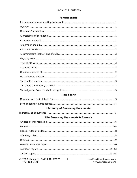# **Table of Contents**

#### **Fundamentals**

| <b>Time Limits</b>                           |
|----------------------------------------------|
|                                              |
|                                              |
| <b>Hierarchy of Governing Documents</b>      |
|                                              |
| <b>LBA Governing Documents &amp; Records</b> |
|                                              |
|                                              |
|                                              |
|                                              |
|                                              |
|                                              |
|                                              |
|                                              |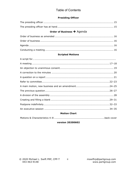## **Table of Contents**

#### **Presiding Officer**

## Order of Business > Agenda

#### **Scripted Motions**

#### **Motion Chart**

#### version 20200602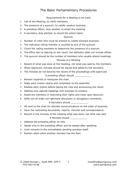Requirements for a Meeting to be Valid

- Call of the Meeting, to notify members.
- The presence of a quorum, to validly conduct business.
- A presiding officer, duly elected, to direct the meeting.
- A secretary, duly elected, to record the action taken.

#### Quorum

- Number of voter who must be present to validly transact business.
- The individual voting member is counted as one of the quorum.
- Count the voting members to determine the presence of a quorum.
- The office has no bearing on the count; the definition does not include officer.
- The quorum should be the number of members who usually attend meetings. Minutes of a Meeting
- Record of what was done at the meeting, not what was said by the members.
- When approved, minutes should be signed and dated by the secretary.
- The minutes do not become the record of the proceedings until approved.

A presiding officer should

- Remain impartial or relinquish the chair.
- State each motion clearly and completely to the assembly.
- Restate each motion before taking the vote and announcing the result.
- Address only agenda headings with business to conduct.
- Assist the members in exercising their rights and insist upon decorum.
- Stifle out-of-order non-germane discussion or derogatory comments.

#### A Secretary should

- Sit next to the chair for discrete communications on the order of business.
- Have the controlling documents, reports, minutes and correspondence.
- Record in the minutes of the meeting what was done, not what was said.

#### A Member should

- Address the presiding officer by title.
- Speak only to the presiding officer and be seated after speaking.
- Limit remarks to the immediately pending question itself.
- Remain silent when another member has the floor.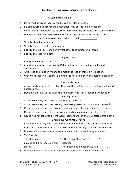A Committee should \_\_\_\_\_\_\_\_\_\_\_\_

- Be formed as prescribed by the bylaws or rules of order.
- Be empowered to act for the association only on specific instructions.
- Follow bylaws, special rules of order, parliamentary authority and standing rules.
- Not adopt their own rules except as authorized in the bylaws or instructions.

A Committee's Instructions should \_\_\_\_\_\_\_\_\_\_\_\_

- Specify standing or special.
- Specify the chair and the members.
- Specify the task as: consider, investigate, take action or all three.
- Specify the reporting date.

#### Majority Vote

- A majority is more than half.
- A majority vote is more than half the ballots cast, excluding blanks and abstentions…
- A tie vote on a motion means the motion is lost or there is no election.
- With more than two options, a plurality is not a majority and neither adopts or elects.

#### Two-thirds Vote

- A two-thirds vote is at least two-thirds of the ballots cast, excluding blanks and abstentions…
- Doubling the "no" votes gives the minimum "yes" vote required for adoption. Counting Votes
- Count yes votes, no votes and announce the result.
- Count yes votes, no votes, voting members present and announce the result.
- Count yes votes, no votes, voting members on roster and announce the result.
- Count yes votes, no votes, and voting positions and announce the result.
- Count was not followed by the word "abstentions" in the four statements above.

#### Unanimous **General** Consent

- Avoids unnecessary votes on routine, non-contentious and non-critical business.
- A motion is adopted or an action taken without putting the question to a vote.
- In cases where unanimous consent is apparent, the chair may assume it.
- The form is:

| The chair asks                              | w<br>"Is there any objection to   |
|---------------------------------------------|-----------------------------------|
| pauses and if no one calls out "objection!" |                                   |
| states                                      | "There being no objection we will |
|                                             |                                   |

If anyone objects, follow the normal procedure for handling the motion.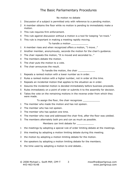#### No motion no debate

- Discussion of a subject is permitted only with reference to a pending motion.
- A member obtains the floor while no motion is pending to immediately make a motion.
- This rule requires firm enforcement.
- This rule against discussion without a motion is a tool for keeping "on track."
- This rule is important in making a meeting rapidly moving.

#### To handle a motion

- A member rises and when recognized offers a motion, "I move…"
- Another member, anonymously, seconds the motion for the chair's guidance.
- The chair repeats the motion, "It is moved and seconded to…"
- The members debate the motion.
- The chair puts the motion to a vote.
- The chair announces the result.

To handle the motion, the chair \_\_\_\_\_\_\_\_\_\_\_\_

- Repeats a ranked motion with a lower number as in order.
- Rules a ranked motion with a higher number, not in order at this time.
- Repeats an incidental motion that applies to the situation as in order.
- Assures the incidental motion is decided immediately before business proceeds.
- Rules immediately on a point of order or submits it to the assembly for decision.
- Takes the vote on the remaining motions in the reverse order from which they were made.

To assign the floor, the chair recognizes

- The member who made the motion and has not spoken.
- The member who has not spoken.
- The member who has spoken one time.
- The member who rose and addressed the chair first, after the floor was yielded.
- The members alternately both pro and con as much as possible.

Members can limit debate for

- the meetings by adopting a special rule of order limiting debate at the meetings.
- this meeting by adopting a motion limiting debate during this meeting.
- the motion by adopting a motion limiting debate for the motion.
- the speakers by adopting a motion limiting debate for the members.
- the time used by adopting a motion to end debate…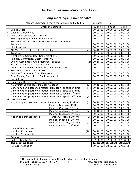# **Long meetings? Limit debate!**

|                | Madam Chairman, I move that debate be limited to                              | $minutes$ .          |                      |                      |
|----------------|-------------------------------------------------------------------------------|----------------------|----------------------|----------------------|
|                | Order of Business                                                             | 10 mins              | 2 mins               | 1 min                |
| $\bullet$      | Call to Order                                                                 | 00:00:20             | 00:00:20             | 00:00:20             |
| $#^1$          | <b>Opening Ceremonies</b>                                                     | 00:03:00             | 00:03:00             | 00:03:00             |
| $#^1$          | Roll Call of Officers and Directors                                           | 00:01:20             | 00:01:20             | 00:01:20             |
| $\mathbf{1}$   | Reading and Approval of the Minutes                                           | 00:03:00             | 00:03:00             | 00:03:00             |
| 2              | Reports of Officers, Boards and Standing Committees                           |                      |                      |                      |
|                | President                                                                     | 00:02:00             | 00:02:00             | 00:01:00             |
|                | Vice President                                                                | 00:02:00             | 00:02:00             | 00:01:00             |
|                | 4th Vice President, Member A speaks<br>(1)                                    | 00:10:00             | 00:02:00             | 00:01:00             |
|                | Treasurer                                                                     | 00:02:00             | 00:02:00             | 00:01:00             |
|                | Membership Committee, Chair Member B                                          | 00:02:00             | 00:02:00             | 00:01:00             |
|                | Publicity Committee, Chair Member C                                           | 00:02:00             | 00:02:00             | 00:01:00             |
|                | Bylaws Committee, Chair Member A speaks<br>(2)                                | 00:10:00             | 00:02:00             | 00:01:00             |
|                | Finance Committee, Chair Member I                                             | 00:02:00             | 00:02:00             | 00:01:00             |
|                | Community Services Committee, Chair Member N                                  | 00:02:00             | 00:02:00             | 00:01:00             |
| $\overline{3}$ | Reports of Special Committees                                                 |                      |                      |                      |
|                | Building Committee, Chair Member K                                            | 00:02:00             | 00:02:00             | 00:01:00             |
|                | Fund Raising Committee, Chair Member R                                        | 00:02:00             | 00:02:00             | 00:01:00             |
| 4              | <b>Special Orders</b>                                                         |                      |                      |                      |
| 5              | Unfinished Business and General Orders                                        |                      |                      |                      |
|                | No unfinished business, Member A speaks<br>(3)                                | 00:10:00             | 00:02:00             | 00:01:00             |
|                | General Order, postponed motion, Member A, speaks 1 <sup>st</sup> time<br>(4) | 00:10:00             | 00:02:00             | 00:01:00             |
|                | General Order, postponed motion, Member B, speaks 1 <sup>st</sup> time        | 00:02:00             | 00:02:00             | 00:01:00             |
|                | General Order, postponed motion, Member J, speaks 1 <sup>st</sup> time        | 00:02:00             | 00:02:00             | 00:01:00             |
|                | General Order, postponed motion, Member A, speaks 2 <sup>nd</sup> time<br>(5) | 00:10:00             | 00:02:00             | 00:01:00             |
| 6              | <b>New Business</b>                                                           |                      |                      |                      |
|                | Motion to purchase lawn mower Member A speaks, 1 <sup>st</sup> time<br>(6)    | 00:10:00             | 00:02:00             | 00:01:00             |
|                | Member B speaks, 1 <sup>st</sup> time                                         | 00:02:00             | 00:02:00             | 00:01:00             |
|                | Member C speaks 1 <sup>st</sup> time                                          | 00:02:00             | 00:02:00             | 00:01:00             |
|                | Member A speaks, 2 <sup>nd</sup> time<br>(7)                                  | 00:10:00             | 00:02:00             | 00:01:00             |
|                | Member B speaks, 2 <sup>nd</sup> time                                         | 00:02:00             | 00:02:00             | 00:01:00             |
|                | Member A, speaks $1st$ time<br>Motion to purchase laptop<br>(8)               | 00:10:00             | 00:02:00             | 00:01:00             |
|                | Member D speaks, 1 <sup>st</sup> time                                         | 00:02:00             | 00:02:00             | 00:01:00             |
|                | Member A speaks, 2 <sup>nd</sup> time<br>(9)                                  | 00:10:00             | 00:02:00             | 00:01:00             |
|                | Member E speaks, $1st$ time                                                   | 00:02:00             | 00:02:00             | 00:01:00             |
| $#^1$          | Good of the Association                                                       |                      |                      |                      |
|                | Member A comments<br>(10)                                                     | 00:10:00             | 00:02:00             | 00:01:00             |
|                | Member F comments                                                             | 00:02:00             | 00:02:00             | 00:01:00             |
| $\bullet$      | Adjourn                                                                       | 00:00:20             | 00:00:20             | 00:00:20             |
|                | Call Meeting to Order at                                                      | 07:00:00             | 07:00:00             | 07:00:00             |
|                | The meeting lasts<br>Adjourn Meeting at                                       | 02:22:00<br>09:22:00 | 01:02:00<br>08:02:00 | 00:35:00<br>07:35:00 |
|                |                                                                               |                      |                      |                      |

 $\overline{a}$ 

 $1$  The symbol " $#$ " indicates an optional heading in the order of business.

<sup>© 2008</sup> Michael L. Swift PRP, CPP-T 4 mswiftrp@parligroup.com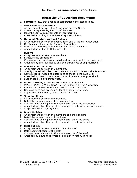### **Hierarchy of Governing Documents**

**1 Statutory law**, that applies to corporations and associations.

#### **2 Articles of Incorporation**

- a An agreement between the Association and the State.
- b Creates a separate legal entity of the state.
- c Meet the State's requirements of incorporation.
- d Amended according to the State Corporation Laws.

#### **3 National Charter, National Bylaws**

- a An agreement between the Association and a National Association.
- b Creates a local unit in the National Association.
- c Meets National's requirements for chartering a local unit.
- d Amended according to National's rules.

#### **4 Bylaws**

- a An agreement between the members.
- b Structure the association.
- c Contain fundamental rules considered too important to be suspended.
- d Amended by previous notice and two-thirds vote or as prescribed.

#### **5 Special Rules of Order**

- a An agreement between the members.
- b Specify procedural rules to supplement or modify those in the Rule Book.
- c Contain special rules and exceptions to those in the Rule Book.
- d Amended by previous notice and two-thirds vote or as prescribed.
- e Suspended by a two-thirds vote.
- **6 Rules of Order**, Parliamentary Authority, Rule Book
- a *Robert's Rules of Order Newly Revised* adopted by the Association.
- b Provides a standard reference book for the Association.
- c Contains rules and procedures for all types of situations.
- d Superseded by adopting Special Rules of Order.

#### **7 Standing Rules**

- a An agreement between the members.
- b Detail the administration of the Association.
- c Contain rules dealing with the administration of the Association.
- d Amended by a two-thirds vote or a majority vote with previous notice.
- e Suspended by a majority vote.

#### **8 Board Policies**

- a An agreement between the members and the directors
- b Detail the administration of the board.
- c Contain rules dealing with the administration of the board.
- d Amended by a two-thirds vote or a majority vote with notice.

#### **9 Staff Policies**

- a An agreement between members and the staff.
- b Detail administration of the staff.
- c Contain rules dealing with the administration of the staff.
- d Amended by a two-thirds vote or a majority vote with notice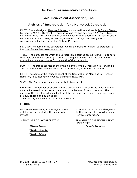## **Local Benevolent Association, Inc.**

## **Articles of Incorporation for a Non-stock Corporation**

FIRST: The undersigned Member Johnson, whose mailing address is 246 Main Street, Baltimore, 21203 MD; Member Langdon whose mailing address is 173 Side Street, Baltimore, 21203 MD and Member Gilman whose mailing address is 15 Cluster Circle, Baltimore 21203 MD being at least eighteen years of age, do hereby form a corporation under the laws of the State of Maryland.

SECOND: The name of the corporation, which is hereinafter called "Corporation" is the Local Benevolent Association, Inc.

THIRD: The purposes for which the Corporation is formed are as follows: To perform charitable acts toward others; to promote the general welfare of the community; and to provide athletic programs for the youth of the community.

FOURTH: The street address of the principle office of the Corporation in Maryland is The Community Recreation Center, 3412 Olive Road, Baltimore 21203 MD.

FIFTH: The name of the resident agent of the Corporation in Maryland is: Member Hamilton, 4523 Roundtoit Avenue, Baltimore 21223 MD.

SIXTH: The Corporation has no authority to issue stock.

SEVENTH: The number of directors of the Corporation shall be three which number may be increased or decreased pursuant to the bylaws of the Corporation. The names of the directors who shall act until the first meeting or until their successors are duly chosen and qualified are:

Janet Leclair, John Hendrix and Roberta Sundre.

 $EIGHTH:$ 

IN Witness WHEREOF, I have signed these I hereby consent to my designation articles and acknowledge the same to be in this document as resident agent my act. The contract of the set of this corporation.

SIGNATURES OF INCORPORATORS: SIGNATURE OF RESIDENT AGENT

LISTED FIFTH:

*Member Johnson Member Hamilton*

 *Member Langdon Member Gilman*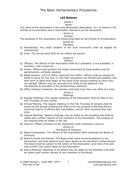#### **LBA Bylaws**

#### Article I

#### Name

The name of the association is the *Local Benevolent Association, Inc.* as stated in the Articles of Incorporation and is hereinafter referred to as the Association.

#### Article II Purpose

The purposes of the Association are those prescribed by the Articles of Incorporation.

#### Article III

#### Members

- §1 Membership. Any adult resident of the local community shall be eligible for membership.
- §2 Dues. The annual dues shall be ten dollars per person.

#### Article IV

#### **Officers**

- §1 Officers. The officers of the Association shall be a president, a vice president, a secretary, and a treasurer.
- §2 Duties. Officers shall perform the duties prescribed by these bylaws and the parliamentary authority adopted.
- §3 Ballot Election, Term of Office, Removal from Office. Officers shall be elected by ballot to serve for one year or until their successors are elected and qualified, and their term of office shall begin at the close of the annual meeting at which they are elected. Officers may be removed from office at the pleasure f the membership as provided in the parliamentary authority.
- §4 Office Holding Limitations. No member shall hold more than one office at a time.

## Article V

#### Meetings

- §1 Regular Meetings. The regular meetings of the Association shall be held on the first Thursday of each month.
- §2 Annual Meeting. The regular meeting on the first Thursday of January shall be known as the annual meeting and shall be for the purpose of electing officers, receiving reports of officers and committees, and for other business that may arise.
- §3 Special Meetings. Special meetings may be called by the president and shall be called upon written request of five members of the Association. The purpose of the meeting shall be stated in the call.
- §4 Quorum. Fifteen members of the Association shall constitute a quorum.

#### Article VI

#### The Board of Directors

- §1 Board Composition. The officers of the Association shall constitute the Board of Directors.
- §2 Board's Duties and Powers. The Board shall make recommendations to the Association, and shall perform such other duties as are specified in these bylaws. The Board shall be subject to the orders of the Association, and none of its acts shall conflict with action taken by the Association.
- §3 Board Meetings. Meetings of the Board may be called by the president and shall be called upon written request of two members of the Board.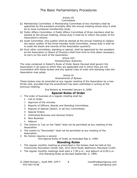#### Article VII

#### **Committees**

- §1 Membership Committee. A Membership Committee of two members shall be appointed by the president promptly after the annual meeting whose duty it shall be to issue numbered membership cards.
- §2 Public Affairs Committee. A Public Affairs Committee of three members shall be elected at the annual meeting, whose duty it shall be to inform the public of the Association's actions.
- §3 Audit Committee. One auditor shall be elected at the annual meeting to replace the senior auditor of the three member Audit Committee, whose duty it shall be to audit the books and records of the Association quarterly.
- §4 Such other committees, standing or special, shall be appointed by the president as the Association or Board of Directors shall from time to time deem necessary to carry on the work of the Association.

#### Article VIII Parliamentary Authority

The rules contained in *Robert's Rules of Order Newly Revised* shall govern the Association in all cases to which they are applicable and in which they are not inconsistent with these bylaws and any special rules of order and standing rules the Association may adopt.

#### Article IX

#### Amendments of Bylaws

These bylaws may be amended at any regular meeting of the Association by a twothirds vote, provided that the amendment has been submitted in writing at the previous meeting.

End Bylaws as Amended January 6, 2000

#### **Special Rules of Order**

- 1 The order of business at a regular meeting shall be:
	- Call to Order
	- 1 Approval of the minutes
	- 2 Reports of Officers, Boards and Standing Committees
	- 3 Reports of Special (Select, or ad hoc) Committees
	- 4 Special Orders
	- 5 Unfinished Business and General Orders
	- 6 New Business
	- Adjourn
- 2 The motion to "Lay on the Table" shall not be permitted at any meeting of the Association.
- 3 The motion to "Reconsider" shall not be permitted at any meeting of the Association.
- 4 No motion requires a second.

End Special Rules of Order as Amended May 6, 1999.

#### **Standing Rules**

- 1 The regular monthly meeting as prescribed in the bylaws shall be held at the Community Recreation Center Hall, 3412 Olive Road, Baltimore, Maryland 21203.
- 2 The regular monthly meetings shall start a 7:00 p.m., and adjourn at 8:00 p.m. End Standing Rules as Revised September 2, 1999.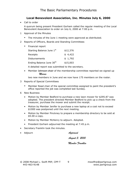## **Local Benevolent Association, Inc. Minutes July 6, 2000**

• Call to order

A quorum being present President Gorham called the regular meeting of the Local Benevolent Association to order on July 6, 2000 at 7:00 p.m.

- 1 Approval of the Minutes
	- The minutes of the June 1 meeting were approved as distributed.
- 2 Reports of Officers, Boards and Standing Committees
	- Financial report

| Starting Balance June 1st            | \$12,376 |
|--------------------------------------|----------|
| Receipts                             | \$4,422  |
| Disbursements                        | \$1,792  |
| Ending Balance June 30 <sup>th</sup> | \$15,003 |

A detailed report was submitted to the secretary.

• Member Johnson chair of the membership committee reported we signed up *Morris*

two new members in June and we now have 175 members on the roster.

#### 3 Reports of Special Committees

- Member Read chair of the special committee assigned to paint the president's office reported the job was completed last Sunday.
- 6 New Business
	- Motion by Member Bedford to purchase a new lawn mower for \$295.87 was adopted. The president directed Member Bedford to pick up a check from the treasurer, purchase the mower and submit the receipt.
	- Motion by Member Jenifer to purchase a new laptop at a cost not to exceed \$1000 was postponed until the next meeting.
	- Motion by Member Pinckney to prepare a membership directory to be sold at \$5.00 a copy.
	- Motion by Member McHenry to adjourn. Adopted.
	- President Gorham adjourned the meeting at 7:45 p.m.
- Secretary Franklin took the minutes.
- Adjourn *Approved*
	-

*August 3, 2000*

#### *Member Franklin*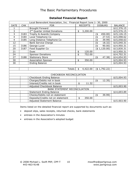|                         |                            | Local Benevolent Association, Inc. Financial Report June 1- 30, 2000 |    |                 |                           |                |                |
|-------------------------|----------------------------|----------------------------------------------------------------------|----|-----------------|---------------------------|----------------|----------------|
| <b>DATE</b>             | <b>CHK</b>                 | <b>FOR</b>                                                           |    | <b>RECEIPTS</b> |                           | <b>DISBURS</b> | <b>BALANCE</b> |
| 1                       |                            | <b>Brought Forward</b>                                               |    |                 |                           |                | \$12,376.15    |
| 3                       |                            | 2 <sup>nd</sup> Quarter United Donations                             | \$ | 3,200.00        |                           |                | \$15,576.15    |
| $\overline{3}$          | 3183                       | Trophy & Awards Company                                              |    |                 | (\$                       | 450.00)        | \$15,126.15    |
| $\overline{4}$          | 3184                       | Local Telephone Co                                                   |    |                 | (\$                       | 27.53)         | \$15,098.62    |
| $\overline{\mathbf{4}}$ | 3185                       | Long Distance Telephone Co                                           |    |                 | $\overline{\mathfrak{s}}$ | 39.99)         | \$15,058.63    |
| 12                      |                            | <b>Bank Service Charge</b>                                           |    |                 | (\$                       | 18.32)         | \$15,040.31    |
| 15                      | 3186                       | George Luver                                                         |    |                 | $\ddot{\epsilon}$         | 90.00)         | \$14,950.31    |
| 20                      | 3187                       | Food Supplier Co                                                     |    |                 |                           | (\$1,120.00)   | \$13,830.31    |
| 21                      |                            | Dues                                                                 | \$ | 120.00          |                           |                | \$13,950.31    |
| 24                      |                            | <b>Sponsor Donations</b>                                             | \$ | 752.00          |                           |                | \$14,702.31    |
| 27                      | 3188                       | <b>Stationary Store</b>                                              |    |                 | (4)                       | 47.38)         | \$14,654.93    |
| 30                      |                            | <b>Association Sponsor</b>                                           | \$ | 350.00          |                           |                | \$15,004.93    |
| 30                      |                            | <b>Ending Balance</b>                                                |    |                 |                           |                | \$15,004.93    |
|                         |                            |                                                                      |    |                 |                           |                |                |
|                         |                            | <b>Totals</b>                                                        | \$ | 4,422.00        |                           | (\$1,792.22)   |                |
|                         |                            |                                                                      |    |                 |                           |                |                |
|                         |                            | CHECKBOOK RECONCILIATION                                             |    |                 |                           |                |                |
|                         |                            | Checkbook Ending Balance                                             |    |                 |                           |                | \$15,004.93    |
|                         |                            | Charges/Debits not in book                                           |    |                 | (\$                       | 12.35)         |                |
|                         |                            | Interest/Credits not in book                                         | \$ | 11.32           |                           |                |                |
|                         | Adjusted Checkbook Balance |                                                                      |    |                 |                           |                | \$15,003.90    |
|                         |                            | <b>BANK STATEMENT RECONCILIATION</b>                                 |    |                 |                           |                |                |
|                         |                            | <b>Statement Ending Balance</b>                                      |    |                 |                           |                | \$14,693.89    |
|                         |                            | Checks/Debits not on statement                                       |    |                 | (\$                       | 39.99)         |                |
|                         |                            | Deposits/Credits not on statement                                    | \$ | 350.00          |                           |                |                |
|                         |                            | <b>Adjusted Statement Balance</b>                                    |    |                 |                           |                | \$15.003.90    |

Items listed on the detailed financial report are supported by documents such as:

- deposit slips, sales receipts, returned checks, bank statements
- entrees in the Association's minutes
- entrees in the Association's adopted budget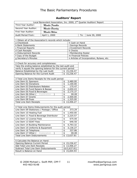# **Auditors' Report**

| Local Benevolent Association, Inc. 2000, 2 <sup>nd</sup> Quarter Auditors' Report                    |                 |    |                            |     |                                           |
|------------------------------------------------------------------------------------------------------|-----------------|----|----------------------------|-----|-------------------------------------------|
| Third Year Auditor:                                                                                  | Member Franklin |    |                            |     |                                           |
| Second Year Auditor:                                                                                 | Member Brearley |    |                            |     |                                           |
| First Year Auditor:                                                                                  | Member Wilson   |    |                            |     |                                           |
|                                                                                                      |                 |    |                            |     |                                           |
| Audit Period From:                                                                                   | April 1, 2000   |    |                            | To: | June 30, 2000                             |
| 1 Obtain all of the Association's records which include:                                             |                 |    |                            |     |                                           |
| a Checkbook                                                                                          |                 |    | h Cash on Hand             |     |                                           |
| <b>b Bank Statements</b>                                                                             |                 |    | i Savings Records          |     |                                           |
| c Financial Reports                                                                                  |                 |    | j Investment Records       |     |                                           |
| d Cash Receipts                                                                                      |                 |    | k Checks                   |     |                                           |
| e Disbursement Records                                                                               |                 |    | I Membership Roster        |     |                                           |
| f Copy of the Budget                                                                                 |                 |    | m Financial Policies       |     |                                           |
| g Secretary's Minutes                                                                                |                 |    |                            |     | n Articles of Incorporation, Bylaws, etc. |
|                                                                                                      |                 |    |                            |     |                                           |
| 2 Check for accuracy and completeness:                                                               |                 |    |                            |     |                                           |
| Take the ending balance established by the last audit and                                            |                 |    |                            |     |                                           |
| verify it equals the opening balance for the current period.                                         |                 |    |                            |     |                                           |
| Balance Established by the Last Audit                                                                |                 |    | \$15,236.47                |     |                                           |
| Opening Balance for the Current Audit                                                                |                 |    | \$15,236.47                |     |                                           |
| 3 Total Line Items Receipts for the audit period:                                                    |                 |    |                            |     |                                           |
| Line Item 01 Sponsors                                                                                |                 | \$ | 3,480.00                   |     |                                           |
| Line Item 02 Donations                                                                               |                 | \$ | 1,100.00                   |     |                                           |
| Line Item 03 Distributors Rebates                                                                    |                 | \$ | 175.47                     |     |                                           |
| Line Item 04 Fund Raisers & Bazaar                                                                   |                 | \$ | 2,650.43                   |     |                                           |
| Line Item 05 Food & Beverages                                                                        |                 | \$ | 2,175.37                   |     |                                           |
| Line Item 06 Other ( Explanation                                                                     |                 | \$ | 00.00                      |     |                                           |
| Line Item 07 Grants                                                                                  |                 | \$ | 2,500.00                   |     |                                           |
| Line Item 08 Dues                                                                                    |                 | \$ | 1,325.00                   |     |                                           |
| Total Line Item Receipts                                                                             |                 | \$ | 13,406.27                  |     |                                           |
|                                                                                                      |                 |    |                            |     |                                           |
| 4 Total Line Items Disbursements for the audit period:<br>Line Item 09 Stationary / Postage / Office |                 |    | 373.29                     |     |                                           |
|                                                                                                      |                 | \$ |                            |     |                                           |
| Line Item 10 Heating Fuel                                                                            |                 | \$ | 1,450.00                   |     |                                           |
| Line Item 11 Food & Beverage Distributor                                                             |                 | \$ | 2,225.57                   |     |                                           |
| Line Item 12 License Fees                                                                            |                 | \$ | 675.00                     |     |                                           |
| Line Item 13 SDAT Fees                                                                               |                 | \$ | 646.50                     |     |                                           |
| Line Item 14 Building Maintenance                                                                    |                 | \$ | 4,793.32                   |     |                                           |
| Line Item 15 Uniforms & Equipment                                                                    |                 | \$ | 3,136.27                   |     |                                           |
| Line Item 16 Telephone                                                                               |                 | \$ | 337.86                     |     |                                           |
| Line Item 17 Other (                                                                                 | Explanation     | \$ | 00.00                      |     |                                           |
| Total Line Item Disbursements                                                                        |                 |    | \$13,637.81                |     |                                           |
|                                                                                                      |                 |    |                            |     |                                           |
| 5 Calculate the Balance on Hand:                                                                     |                 |    |                            |     |                                           |
| Opening Balance Current Period                                                                       |                 |    | \$15,236.47<br>\$13,406.27 |     |                                           |
| Add Total Line Item Receipts<br>Subtract Total Line Item Disbursements                               |                 |    | (\$13,637.81)              |     |                                           |
| Result is Balance on Hand                                                                            |                 |    | \$15,004.93                |     |                                           |
|                                                                                                      |                 |    |                            |     |                                           |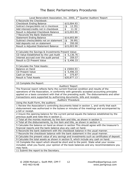| Local Benevolent Association, Inc. 2000, 2 <sup>nd</sup> Quarter Auditors' Report             |                                                                                 |  |  |  |  |  |
|-----------------------------------------------------------------------------------------------|---------------------------------------------------------------------------------|--|--|--|--|--|
| 6 Reconcile the Checkbook:                                                                    |                                                                                 |  |  |  |  |  |
| Checkbook Ending Balance                                                                      | \$15,004.93                                                                     |  |  |  |  |  |
| Subtract charges/debits not in checkbook                                                      | (4)<br>12.35)                                                                   |  |  |  |  |  |
| Add interest/credits not in checkbook                                                         | 11.32<br>\$                                                                     |  |  |  |  |  |
| Result is Adjusted Checkbook Balance                                                          | \$15,003.90                                                                     |  |  |  |  |  |
| 7 Reconcile the Bank Statement                                                                |                                                                                 |  |  |  |  |  |
| <b>Statement Ending Balance</b>                                                               | \$14,693.89                                                                     |  |  |  |  |  |
| Subtract checks/debits not on statement                                                       | $($ \$<br>39.99)                                                                |  |  |  |  |  |
| Add deposits not on statement                                                                 | \$<br>350.00                                                                    |  |  |  |  |  |
| Result is Adjusted Statement Balance                                                          | \$15,003.90                                                                     |  |  |  |  |  |
|                                                                                               |                                                                                 |  |  |  |  |  |
| 8 Calculate the Savings & Investments Present Value:                                          |                                                                                 |  |  |  |  |  |
| CD Value Established by the Last Audit                                                        | 5,136.76<br>\$                                                                  |  |  |  |  |  |
| Interest accrued over the audit period                                                        | \$<br>359.57                                                                    |  |  |  |  |  |
| Result is CD Present Value                                                                    | \$5,496.33                                                                      |  |  |  |  |  |
|                                                                                               |                                                                                 |  |  |  |  |  |
|                                                                                               |                                                                                 |  |  |  |  |  |
| 9 Calculate the Total Assets:                                                                 |                                                                                 |  |  |  |  |  |
| Balance on Hand                                                                               | \$15004.93                                                                      |  |  |  |  |  |
| <b>CD Present Value</b>                                                                       | \$<br>5,496.33                                                                  |  |  |  |  |  |
| Cash on Hand                                                                                  | \$<br>375.87                                                                    |  |  |  |  |  |
| Result is Total Assets                                                                        | \$20,877.13                                                                     |  |  |  |  |  |
|                                                                                               |                                                                                 |  |  |  |  |  |
| 10 Complete the Report:                                                                       |                                                                                 |  |  |  |  |  |
|                                                                                               | Auditors' Report                                                                |  |  |  |  |  |
| The financial report reflects fairly the current financial condition and results of the       |                                                                                 |  |  |  |  |  |
| operations of the Association, in conformity with generally accepted accounting principles    |                                                                                 |  |  |  |  |  |
| applied on a basis consistent with that of the preceding audit. The disbursements and other   |                                                                                 |  |  |  |  |  |
| transactions were supported by authorizing documents, bills and receipts.                     |                                                                                 |  |  |  |  |  |
|                                                                                               | Auditors' Procedure                                                             |  |  |  |  |  |
| Using the Audit Form, the auditors:                                                           |                                                                                 |  |  |  |  |  |
| 1 Review the Association's controlling documents listed in section 1, and verify that each    |                                                                                 |  |  |  |  |  |
| disbursement was authorized in the bylaws or minutes of the meetings and accompanied by       |                                                                                 |  |  |  |  |  |
| a bill or receipt.                                                                            |                                                                                 |  |  |  |  |  |
| 2 Insure the opening balance for the current period equals the balance established by the     |                                                                                 |  |  |  |  |  |
| previous audit and note this in section 2.                                                    |                                                                                 |  |  |  |  |  |
|                                                                                               | 3 Total all the monies received, by line item and title, as shown in section 3. |  |  |  |  |  |
| 4 Total all the disbursements, by line item and title, as shown in section 4.                 |                                                                                 |  |  |  |  |  |
| 5 Calculate the balance on hand as shown in section This should agree with the treasurer's    |                                                                                 |  |  |  |  |  |
| financial reports and the bank balance plus any cash on hand.                                 |                                                                                 |  |  |  |  |  |
| 6 Reconcile the bank statement with the checkbook balance in the usual manner.                |                                                                                 |  |  |  |  |  |
| 7 Reconcile the checkbook balance with the bank statement in the usual manner.                |                                                                                 |  |  |  |  |  |
| 8 Calculate the present value of any savings and investments such as certificates of deposit. |                                                                                 |  |  |  |  |  |
| 9 Calculate the total assets as shown in section 9, which include any cash on hand.           |                                                                                 |  |  |  |  |  |
| 10 Complete the report which should be short and to the point. State what your review         |                                                                                 |  |  |  |  |  |
| included, what you found, your opinion of the book balances and any recommendations you       |                                                                                 |  |  |  |  |  |
| may have.                                                                                     |                                                                                 |  |  |  |  |  |
| 11 Submit the report to the Secretary.                                                        |                                                                                 |  |  |  |  |  |
|                                                                                               |                                                                                 |  |  |  |  |  |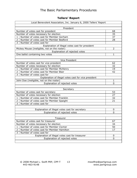# **Tellers' Report**

| Local Benevolent Association, Inc. January 6, 2000 Tellers' Report |                |  |  |  |  |
|--------------------------------------------------------------------|----------------|--|--|--|--|
|                                                                    |                |  |  |  |  |
| President                                                          |                |  |  |  |  |
| Number of votes cast for president                                 | 68<br>35       |  |  |  |  |
| Number of votes necessary for election                             |                |  |  |  |  |
| Number of votes cast for Member Gorham<br>1                        | 37             |  |  |  |  |
| 2<br>Number of votes cast for Member Bedford                       | 28             |  |  |  |  |
| 3<br>Number of votes cast for                                      |                |  |  |  |  |
| Explanation of illegal votes cast for president                    |                |  |  |  |  |
| Mickey Mouse (ineligible, not on the roster)                       | $\overline{2}$ |  |  |  |  |
| Explanation of rejected votes                                      |                |  |  |  |  |
| One ballot containing two votes                                    | $\mathbf{1}$   |  |  |  |  |
|                                                                    |                |  |  |  |  |
| Vice President                                                     |                |  |  |  |  |
| Number of votes cast for vice president                            | 62             |  |  |  |  |
| Number of votes necessary for election                             | 32             |  |  |  |  |
| Number of votes cast for Member McHenry<br>1                       | 19             |  |  |  |  |
| Number of votes cast for Member Blair<br>2                         | 42             |  |  |  |  |
| 3<br>Number of votes cast for                                      |                |  |  |  |  |
| Explanation of illegal votes cast for vice president               |                |  |  |  |  |
| John Doe (ineligible, not on the roster)                           | 1              |  |  |  |  |
| Explanation of rejected votes                                      | 0              |  |  |  |  |
|                                                                    |                |  |  |  |  |
| Secretary                                                          |                |  |  |  |  |
| Number of votes cast for secretary                                 | 53             |  |  |  |  |
| Number of votes necessary for election                             | 27             |  |  |  |  |
| Number of votes cast for Member Franklin<br>1                      | 32             |  |  |  |  |
| $\overline{2}$<br>Number of votes cast for Member Spaight          | 21             |  |  |  |  |
| 3<br>Number of votes cast for                                      |                |  |  |  |  |
|                                                                    |                |  |  |  |  |
| Explanation of illegal votes cast for secretary                    | 0              |  |  |  |  |
| Explanation of rejected votes                                      | 0              |  |  |  |  |
| Treasurer                                                          |                |  |  |  |  |
| 67<br>Number of votes cast for treasurer                           |                |  |  |  |  |
| Number of votes necessary for election                             | 34             |  |  |  |  |
| 50<br>Number of votes cast for Member Clymer<br>$\mathbf 1$        |                |  |  |  |  |
| Number of votes cast for Member Hamilton<br>17                     |                |  |  |  |  |
| $\overline{2}$<br>3<br>Number of votes cast for                    |                |  |  |  |  |
| Explanation of illegal votes cast for treasurer<br>0               |                |  |  |  |  |
| Explanation of rejected votes<br>0                                 |                |  |  |  |  |
|                                                                    |                |  |  |  |  |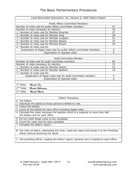| Local Benevolent Association, Inc. January 6, 2000 Tellers' Report                                                                    |          |  |  |  |  |
|---------------------------------------------------------------------------------------------------------------------------------------|----------|--|--|--|--|
|                                                                                                                                       |          |  |  |  |  |
| <b>Public Affairs Committee Members</b>                                                                                               |          |  |  |  |  |
| Number of votes cast for public affairs committee members<br>67                                                                       |          |  |  |  |  |
| Number of votes necessary for election                                                                                                |          |  |  |  |  |
| Number of votes cast for Member Brearley<br>1                                                                                         |          |  |  |  |  |
| 2<br>Number of votes cast for Member King                                                                                             | 38       |  |  |  |  |
| 3<br>Number of votes cast for Member Langdon                                                                                          | 51       |  |  |  |  |
| Number of votes cast for Member Basset<br>4                                                                                           | 24       |  |  |  |  |
| 5<br>Number of votes cast for Member Broom                                                                                            | 34       |  |  |  |  |
| 6<br>Number of votes cast for                                                                                                         |          |  |  |  |  |
| Explanation of illegal votes cast for public affairs committee members                                                                | 0        |  |  |  |  |
| Explanation of rejected votes                                                                                                         | $\Omega$ |  |  |  |  |
|                                                                                                                                       |          |  |  |  |  |
| Audit Committee Member                                                                                                                |          |  |  |  |  |
| Number of votes cast for audit committee members                                                                                      | 60       |  |  |  |  |
| Number of votes necessary for election                                                                                                | 31       |  |  |  |  |
| Number of votes cast for Member Wilson<br>1                                                                                           | 42       |  |  |  |  |
| $\overline{2}$<br>Number of votes cast for Member Baldwin                                                                             | 18       |  |  |  |  |
| 3<br>Number of votes cast for                                                                                                         |          |  |  |  |  |
| Explanation of illegal votes cast for audit committee members                                                                         | 0        |  |  |  |  |
| Explanation of rejected votes<br><sup>0</sup>                                                                                         |          |  |  |  |  |
|                                                                                                                                       |          |  |  |  |  |
| $1st$ Teller<br>Member Jew                                                                                                            |          |  |  |  |  |
| $2nd$ Teller<br>Member Williamson                                                                                                     |          |  |  |  |  |
| 3rd Teller<br>Member Morris                                                                                                           |          |  |  |  |  |
|                                                                                                                                       |          |  |  |  |  |
| Tellers' Procedure                                                                                                                    |          |  |  |  |  |
| A The tellers:                                                                                                                        |          |  |  |  |  |
| 1 Distribute the ballots to those persons entitled to vote.                                                                           |          |  |  |  |  |
| 2 Collect the ballots.                                                                                                                |          |  |  |  |  |
| 3 Count all the ballots for each office including illegal votes.                                                                      |          |  |  |  |  |
| 4 Calculate the votes necessary for election which is a majority or more than half                                                    |          |  |  |  |  |
| the ballots cast for each office.                                                                                                     |          |  |  |  |  |
| 5 Do not credit illegal votes to any candidate.                                                                                       |          |  |  |  |  |
| 6 Count the votes cast for each candidate.                                                                                            |          |  |  |  |  |
| Complete the tellers' report                                                                                                          |          |  |  |  |  |
|                                                                                                                                       |          |  |  |  |  |
| B The chair of tellers, addressing the chair, reads the report and hands it to the Presiding<br>officer without declaring the result. |          |  |  |  |  |
|                                                                                                                                       |          |  |  |  |  |
| C The presiding officer, reading the tellers' report, declares who is elected to each office.                                         |          |  |  |  |  |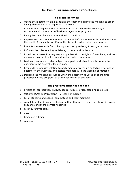#### **The presiding officer**

- 1 Opens the meeting on time by taking the chair and calling the meeting to order, having determined that a quorum is present.
- 2 Announces in sequence the business that comes before the assembly in accordance with the order of business, agenda, or program.
- 3 Recognizes members who are entitled to the floor.
- 4 Repeats and puts to vote motions that come before the assembly, and announces the result of each vote; or, if a motion is not in order, rules it not in order.
- 5 Protects the assembly from dilatory motions by refusing to recognize them.
- 6 Enforces the rules relating to debate, to order and to decorum.
- 7 Expedites business in every way compatible with the rights of members, and uses unanimous consent and assumed motions when appropriate.
- 8 Decides questions of order, subject to appeal, and when in doubt, refers the question to the assembly for decision.
- 9 Responds to inquiries relating to parliamentary procedure or factual information bearing on the business, and assists members with the wording of motions.
- 10 Declares the meeting adjourned when the assembly so votes or at the time prescribed in the program, or at the conclusion of business.

#### **The presiding officer has at hand**

- 1 articles of incorporation, bylaws, special rules of order, standing rules, etc.
- 2 *Robert's Rules of Order Newly Revised* 11<sup>th</sup> Edition
- 3 list of standing and special committees and their members
- 4 complete order of business, listing matters that are to come up, shown in proper sequence under the correct headings
- 5 script & referral cards
- 6 gavel
- 7 timepiece & timer
- 8 calendar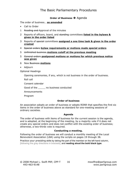#### **Order of Business > Agenda**

The order of business… **as amended**

- Call to Order
- 1 Reading and Approval of the minutes
- 2 Reports of officers, board, and standing committees **listed in the bylaws & given in the order listed**
- 3 Reports of special committees **assigned a one time task & given in the order created**
- 4 Special orders **bylaw requirements or motions made special orders**
- 5 Unfinished business **motions cutoff at the previous meeting**
- 5 General orders **postponed motions or motions for which previous notice was given**
- 6 New Business **motions**
- Adjourn

Optional Headings

Opening ceremonies, if any, which is not business in the order of business.

Roll call

Consent calendar

Good of the \_\_\_\_\_\_ no business conducted

Announcements

Program

#### **Order of business**

An association adopts an order of business or adopts RONR that specifies the first six items in the order of business above as standard for one-meeting sessions of ordinary societies.

#### **Agenda**

The order of business with items of business for the current session is the agenda, and is adopted, at the beginning of the meeting, by a majority vote if it does not create any special orders and does not conflict with the existing order of business; otherwise, a two-thirds vote is required.

#### **Conducting a meeting.**

Following the order of business we will conduct a monthly meeting of the Local Benevolent Association (LBA) using the scripts on pages 19 through 38.

Practice your presiding skills by taking the part of the member on the left hand column, [following the gray directions in brackets], and **reading aloud the bold black type**.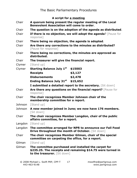## **A script for a meeting**

- Chair **A quorum being present the regular meeting of the Local Benevolent Association will come to order**.
- Chair **The question is on the adoption of the agenda as distributed**.
- Chair **If there is no objection, we will adopt the agenda**? [Pause for response]
- Chair **There being no objection, the agenda is adopted**.
- Chair **Are there any corrections to the minutes as distributed?** [Pause for response]
- Chair **There being no corrections, the minutes are approved as distributed.**
- Chair **The treasurer will give the financial report.**
- Clymer [Stand up]

| Clymer | <b>Starting Balance July 1st</b> | \$15003  |  |
|--------|----------------------------------|----------|--|
|        | <b>Receipts</b>                  | \$3,127  |  |
|        | <b>Disbursements</b>             | \$2,478  |  |
|        | <b>Ending Balance July 31st</b>  | \$15,652 |  |
|        |                                  |          |  |

**I submitted a detailed report to the secretary.** [Sit down]

- Chair **Are there any questions on the financial report?** [Pause for response]
- Chair **The chair recognizes Member Johnson chair of the membership committee for a report.**
- Johnson [Stand up]
- Johnson **A new member joined in June; we now have 176 members.** [Sit down]
- Chair **The chair recognizes Member Langdon, chair of the public affairs committee, for a report.**

Langdon [Stand up]

- Langdon **The committee arranged for NPR to announce our Fall Food Drive throughout the month of October.** [Sit down]
- Chair **The chair recognizes Member Gilman, chair of the special committee on carpeting the office, for a report.**

Gilman [Stand up]

Gilman **The committee purchased and installed the carpet for \$235.25. The receipts and remaining \$14.75 were turned in to the treasurer.** [Sit down]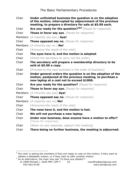| Chair          | Under unfinished business the question is on the adoption<br>of the motion, interrupted by adjournment of the previous<br>meeting, to prepare a directory for sale at \$5.00 each. |  |  |  |  |  |
|----------------|------------------------------------------------------------------------------------------------------------------------------------------------------------------------------------|--|--|--|--|--|
| Chair          | Are you ready for the question? <sup>2&amp;3</sup> [Pause for response]                                                                                                            |  |  |  |  |  |
| Chair          | Those in favor say aye. [Pause for response]                                                                                                                                       |  |  |  |  |  |
| <b>Members</b> | [A majority say aye.] Aye!                                                                                                                                                         |  |  |  |  |  |
| Chair          | <b>Those opposed say no.</b> [Pause for response]                                                                                                                                  |  |  |  |  |  |
|                | Members [A minority say no.] No!                                                                                                                                                   |  |  |  |  |  |
| Chair          | [Announce the result of the vote]                                                                                                                                                  |  |  |  |  |  |
| Chair          | The ayes have it, and the motion is adopted.                                                                                                                                       |  |  |  |  |  |
| Chair          | [Direct the secretary to carry out the order]                                                                                                                                      |  |  |  |  |  |
| Chair          | The secretary will prepare a membership directory to be<br>sold at $$5.00$ a copy.                                                                                                 |  |  |  |  |  |
| Chair          | [Proceed to the next business in the order of business]                                                                                                                            |  |  |  |  |  |
| Chair          | Under general orders the question is on the adoption of the<br>motion, postponed at the previous meeting, to purchase a<br>new laptop at a cost not to exceed \$1000.              |  |  |  |  |  |
| Chair          | Are you ready for the question? [Pause for response]                                                                                                                               |  |  |  |  |  |
| Chair          | <b>Those in favor say aye.</b> [Pause for response]                                                                                                                                |  |  |  |  |  |
| <b>Members</b> | [A minority say aye] Aye!                                                                                                                                                          |  |  |  |  |  |
| Chair          | <b>Those opposed say no.</b> [Pause for response]                                                                                                                                  |  |  |  |  |  |
| <b>Members</b> | [A majority say no] <b>No!</b>                                                                                                                                                     |  |  |  |  |  |
| Chair          | [Announce the result of the vote]                                                                                                                                                  |  |  |  |  |  |
| Chair          | The noes have it, and the motion is lost.                                                                                                                                          |  |  |  |  |  |
| Chair          | We will not purchase a new laptop.                                                                                                                                                 |  |  |  |  |  |
| Chair          | Under new business, does anyone have a motion to offer?<br>[Pause for response]                                                                                                    |  |  |  |  |  |
| Chair          | [When no one responds, adjourn the meeting]                                                                                                                                        |  |  |  |  |  |
| Chair          | There being no further business, the meeting is adjourned.                                                                                                                         |  |  |  |  |  |

 $\overline{a}$ 

 $2$  The chair is asking the members if they are ready to vote on the motion, if they want to debate a debatable motion, or if they want to offer another motion.

 $3$  As an alternative, the chair may ask "Is there any debate"?

<sup>© 2008</sup> Michael L. Swift PRP, CPP-T 18 mswiftrp@parligroup.com 443-463-9148 www.parligroup.com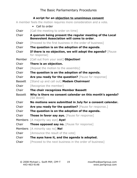## **A script for an objection to unanimous consent**

A member feels the motion requires more consideration and a vote.

|                | • Call to order                                                                                              |
|----------------|--------------------------------------------------------------------------------------------------------------|
| Chair          | [Call the meeting to order on time]                                                                          |
| Chair          | A quorum being present the regular meeting of the Local<br><b>Benevolent Association will come to order.</b> |
| Chair          | [Proceed to the first business in the order of business]                                                     |
| Chair          | The question is on the adoption of the agenda.                                                               |
| Chair          | If there is no objection, we will adopt the agenda? [Pause<br>for response]                                  |
| Member         | [Call out from your seat] Objection!                                                                         |
| Chair          | There is an objection.                                                                                       |
| Chair          | [Repeat the motion to the assembly]                                                                          |
| Chair          | The question is on the adoption of the agenda.                                                               |
| Chair          | Are you ready for the question? [Pause for response]                                                         |
| <b>Bassett</b> | [Stand up and call out] Madam Chairman!                                                                      |
| Chair          | [Recognize the member]                                                                                       |
| Chair          | The chair recognizes Member Bassett                                                                          |
| <b>Bassett</b> | Why is there no consent calendar on this month's agenda?<br>[Sit down]                                       |
| Chair          | No motions were submitted in July for a consent calendar.                                                    |
| Chair          | Are you ready for the question? [Pause for response.]                                                        |
| Chair          | The question is on the adoption of the agenda.                                                               |
| Chair          | <b>Those in favor say aye.</b> [Pause for response]                                                          |
| <b>Members</b> | [A majority say aye] Aye!                                                                                    |
| Chair          | Those opposed say no. [Pause for response]                                                                   |
|                | Members [A minority say no] No!                                                                              |
| Chair          | [Announce the result of the vote]                                                                            |
| Chair          | The ayes have it, and the agenda is adopted.                                                                 |
| Chair          | [Proceed to the next business in the order of business]                                                      |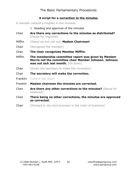## **A script for a correction to the minutes**

A member noticed a mistake in the minutes.

- 1 Reading and approval of the minutes
- Chair **Are there any corrections to the minutes as distributed?** [Pause for response]
- Mifflin [Stand up and call out] **Madam Chairman!**
- Chair [Recognize the member]
- Chair **The chair recognizes Member Mifflin.**
- Mifflin **The membership committee report was given by Member Morris not the committee chair Member Johnson. Johnson was out sick last month.** [Sit down]
- Chair [Direct the secretary to make the correction]
- Chair **The secretary will make the correction.**
- **Franklin** [Inform the chair]
- Franklin **Madam chairman the minutes are corrected.**
- Chair **Are there any other corrections to the minutes?** [Pause for response]
- Chair **There being no other corrections, the minutes are approved as corrected.**
- **Chair** [Proceed to the next business in the order of business]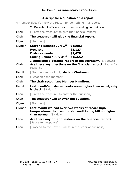## **A script for a question on a report**,

A member doesn't know the reason for something in a report.

- 2 Reports of officers, board, and standing committees
- **Chair** [Direct the treasurer to give the financial report]
- Chair **The treasurer will give the financial report.**
- Clymer [Stand up]
- Clymer **Starting Balance July 1st \$15003 Receipts \$3,127 Disbursements \$2,478 Ending Balance July 31st \$15,652 I submitted a detailed report to the secretary.** [Sit down] Chair **Are there any questions on the financial report?** [Pause for response]
- Hamilton [Stand up and call out] **Madam Chairman!**
- **Chair** [Recognize the member]
- Chair **The chair recognizes Member Hamilton.**
- Hamilton **Last month's disbursements seem higher than usual; why is that?** [Sit down]
- **Chair** [Direct the treasurer to answer the question]
- Chair **The treasurer will answer the question.**
- Clymer [Stand up]
- Clymer **Last month we had over two weeks of record high temperatures that ran our air conditioning bill up higher than normal.** [Sit down]
- Chair **Are there any other questions on the financial report?** [Pause for response]
- **Chair** [Proceed to the next business in the order of business]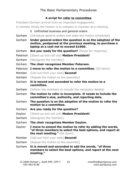# **A script for refer to committee**

President Gorham arrives from an important engagement.

A member thinks the motion is to complex to consider at a meeting.

- 5 Unfinished business and general orders
- Gorham [Introduce general orders and state the motion scheduled]
- Gorham **Under general orders the question is on the adoption of the motion, postponed at the previous meeting, to purchase a laptop at a cost not to exceed \$1000.**
- Gorham **Are you ready for the question?** [Pause for response]
- Paterson [Stand up and call out] **Madam President!**
- Gorham [Recognize the member]
- Gorham **The chair recognizes Member Paterson.**
- Paterson **I move to refer the motion to a committee.** [Sit down]
- Member [Call out from your seat] **Second!**
- Gorham [Repeat the motion to the assembly]
- Gorham **It is moved and seconded to refer the motion to a committee.**
- Gorham [Inform the members to include the necessary details]
- Gorham **The motion to refer is incomplete. It needs to include the committee's size, authority, and reporting date.**
- Gorham **The question is on the adoption of the motion to refer the motion to a committee.**
- Gorham **Are you ready for the question?**
- Dayton [Stand up and call out] **Madam President!**
- Gorham [Recognize the member]
- Gorham **The chair recognizes Member Dayton.**
- Dayton **I move to amend the motion to refer by adding the words, "of three members to select the best options, and report at the next meeting."** [Sit down]
- Member [Call out from your seat] **Second!**
- Gorham [Repeat the motion to the assembly]
- Gorham **It is moved and seconded to add the words, "of three members to select the best options, and report at the next meeting."**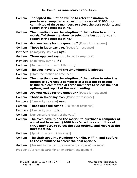- Gorham **If adopted the motion will be to refer the motion to purchase a computer at a cost not to exceed \$1000 to a committee of three members to select the best options, and report at the next meeting.**
- Gorham **The question is on the adoption of the motion to add the words, "of three members to select the best options, and report at the next meeting."**
- Gorham **Are you ready for the question?** [Pause for response]
- Gorham **Those in favor say aye.** [Pause for response]
- Members [A majority say aye] **Aye!**
- Gorham **Those opposed say no.** [Pause for response]
- Members [A minority say no] **No!**
- Gorham [Announce the result of the vote]
- Gorham **The ayes have it, and the amendment is adopted.**
- Gorham [State the motion as amended]
- Gorham **The question is on the adoption of the motion to refer the motion to purchase a computer at a cost not to exceed \$1000 to a committee of three members to select the best options, and report at the next meeting.**
- Gorham **Are you ready for the question?** [Pause for response]
- Gorham **Those in favor say aye.** [Pause for response]
- Members [A majority say aye] **Aye!**
- Gorham **Those opposed say no.** [Pause for response]
- Members [A minority say no] **No!**
- Gorham [Announce the result of the vote]
- Gorham **The ayes have it, and the motion to purchase a computer at a cost not to exceed \$1000 is referred to a committee of three members to select the best options, and report at the next meeting.**
- Gorham [Appoint the committee chair]
- Gorham **The chair appoints Members Franklin, Mifflin, and Bedford to the committee to select the best options.**
- Gorham [Proceed to the next business in the order of business]

President Gorham departs for an important engagement.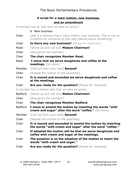## **A script for a main motion, new business, and an amendment**

A member has an idea that we take an action?

6 New business

- **Chair** [Ask if a member has a main motion, new business. This is not an invitation for someone to just start talking about something]
- Chair **Is there any new business?** [Pause for response]
- Read [Stand up and call out] **Madam Chairman!**

Chair [Recognize the member]

Chair **The chair recognizes Member Read.**

Read **I move that we serve doughnuts and coffee at the meetings.** [Sit down]

Member [Call out from your seat] **Second!**

Chair [Repeat the motion to the assembly]

- Chair **It is moved and seconded we serve doughnuts and coffee at the meetings.**
- Chair **Are you ready for the question?** [Pause for response]

A member has a related idea that we take an action.

Bedford [Stand up and call out] **Madam Chairman!**

Chair [Recognize the member]

- Chair **The chair recognizes Member Bedford.**
- Bedford **I move to amend the motion by inserting the words "with cream and sugar" after the word "coffee."** [Sit down]
- Member [Call out from your seat] **Second!**

Chair [Repeat the motion to the assembly]

- Chair **It is moved and seconded to amend the motion by inserting the words "with cream and sugar" after the word "coffee."**
- Chair **If adopted the motion will be that we serve doughnuts and coffee with cream and sugar at the meetings.**
- Chair **The question is on the adoption of the motion to insert the words "with cream and sugar."**
- Chair **Are you ready for the question?** [Pause for response]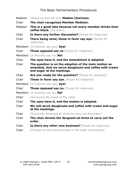| Madison | [Stand up and call out] Madam Chairman.                                                                                                       |  |  |  |  |  |
|---------|-----------------------------------------------------------------------------------------------------------------------------------------------|--|--|--|--|--|
| Chair   | The chair recognizes Member Madison.                                                                                                          |  |  |  |  |  |
| Madison | This is a good idea because not every member drinks their<br>coffee black. [Sit down]                                                         |  |  |  |  |  |
| Chair   | Is there any further discussion? [Pause for response]                                                                                         |  |  |  |  |  |
| Chair   | There being none; those in favor say aye. [Pause for<br>response]                                                                             |  |  |  |  |  |
|         | Members [A majority say aye] Aye!                                                                                                             |  |  |  |  |  |
| Chair   | <b>Those opposed say no</b> [Pause for response]                                                                                              |  |  |  |  |  |
|         | Members [A minority say no] No!                                                                                                               |  |  |  |  |  |
| Chair   | The ayes have it, and the amendment is adopted.                                                                                               |  |  |  |  |  |
| Chair   | The question is on the adoption of the main motion as<br>amended, that we serve doughnuts and coffee with cream<br>and sugar at the meetings. |  |  |  |  |  |
| Chair   |                                                                                                                                               |  |  |  |  |  |
|         | Are you ready for the question? [Pause for response]                                                                                          |  |  |  |  |  |
| Chair   | <b>Those in favor say aye.</b> [Pause for response]                                                                                           |  |  |  |  |  |
|         | Members [A majority say aye] Aye!                                                                                                             |  |  |  |  |  |
| Chair   | Those opposed say no. [Pause for response]                                                                                                    |  |  |  |  |  |
|         | Members [A minority say no] No!                                                                                                               |  |  |  |  |  |
| Chair   | [Announce the result of the vote]                                                                                                             |  |  |  |  |  |
| Chair   | The ayes have it, and the motion is adopted.                                                                                                  |  |  |  |  |  |
| Chair   | We will serve doughnuts and coffee with cream and sugar<br>at the meetings.                                                                   |  |  |  |  |  |
| Chair   | [Direct the Sergeant-at-Arms to carry out the order]                                                                                          |  |  |  |  |  |
| Chair   | The chair directs the Sergeant-at-Arms to carry out the<br>order.                                                                             |  |  |  |  |  |
| Chair   | Is there any other new business? [Pause for response]                                                                                         |  |  |  |  |  |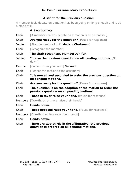## **A script for the previous question**

A member feels debate on a motion has been going on long enough and is at a stand still.

|                | 6 New business                                                                                          |  |  |  |  |
|----------------|---------------------------------------------------------------------------------------------------------|--|--|--|--|
| Chair          | [A member realizes debate on a motion is at a standstill]                                               |  |  |  |  |
| Chair          | Are you ready for the question? [Pause for response]                                                    |  |  |  |  |
| <b>Jenifer</b> | [Stand up and call out] Madam Chairman!                                                                 |  |  |  |  |
| Chair          | [Recognize the member]                                                                                  |  |  |  |  |
| Chair          | The chair recognizes Member Jenifer.                                                                    |  |  |  |  |
| <b>Jenifer</b> | I move the previous question on all pending motions. [Sit<br>down]                                      |  |  |  |  |
| Member         | [Call out from your seat] Second!                                                                       |  |  |  |  |
| Chair          | [Repeat the motion to the assembly]                                                                     |  |  |  |  |
| Chair          | It is moved and seconded to order the previous question on<br>all pending motions.                      |  |  |  |  |
| Chair          | Are you ready for the question? [Pause for response]                                                    |  |  |  |  |
| Chair          | The question is on the adoption of the motion to order the<br>previous question on all pending motions. |  |  |  |  |
| Chair          | Those in favor raise your hand. [Pause for response]                                                    |  |  |  |  |
| <b>Members</b> | [Two-thirds or more raise their hands]                                                                  |  |  |  |  |
| Chair          | Hands down.                                                                                             |  |  |  |  |
| Chair          | <b>Those opposed raise your hand.</b> [Pause for response]                                              |  |  |  |  |
| <b>Members</b> | [One-third or less raise their hands]                                                                   |  |  |  |  |
| Chair          | Hands down.                                                                                             |  |  |  |  |
| Chair          | There are two-thirds in the affirmative; the previous<br>question is ordered on all pending motions.    |  |  |  |  |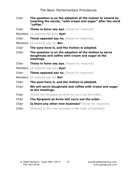- Chair **The question is on the adoption of the motion to amend by inserting the words, "with cream and sugar" after the word "coffee."**
- Chair **Those in favor say aye.** [Pause for response]
- Members [A majority say aye] **Aye!**
- Chair **Those opposed say no.** [Pause for response]
- Members [A minority say no] **No!**

Chair **The ayes have it, and the motion is adopted.**

- Chair **The question is on the adoption of the motion to serve doughnuts and coffee with cream and sugar at the meetings.**
- Chair **Those in favor say aye.** [Pause for response]
- Members [A majority say aye] **Aye!**
- Chair **Those opposed say no.** [Pause for response]
- Members [A minority say no] **No!**
- Chair **The ayes have it, and the motion is adopted.**

Chair **We will serve doughnuts and coffee with cream and sugar at the meetings.**

- Chair [Direct the Sergeant-at-Arms to carry out the order]
- Chair **The Sergeant-at-Arms will carry out the order.**
- Chair **Is there any other new business?** [Pause for response]
- **Chair** [Proceed to the next business in the order of business]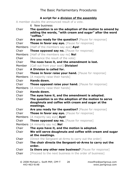## **A script for a division of the assembly**

A member doubts the announced result of a vote.

6 New business Chair **The question is on the adoption of the motion to amend by adding the words, "with cream and sugar" after the word "coffee."** Chair **Are you ready for the question?** [Pause for response] Chair **Those in favor say aye.** [Pause for response] Members [Half of the members say aye] **Aye!** Chair **Those opposed say no.** [Pause for response] Members [Half of the members say no] **No!** Chair [Announce the result of the vote] Chair **The noes have it, and the amendment is lost.** Member [Call out from your seat] **Division!** Chair **A Division is called for.** Chair **Those in favor raise your hand.** [Pause for response] Members [A majority raise their hands] Chair **Hands down.** Chair **Those opposed raise your hand.** [Pause for response] Members [A minority raise their hands] Chair **Hands down.** Chair **The ayes have it, and the amendment is adopted.** Chair **The question is on the adoption of the motion to serve doughnuts and coffee with cream and sugar at the meetings.** Chair **Are you ready for the question?** [Pause for response] Chair **Those in favor say aye.** [Pause for response] Members [A majority say aye] **Aye!** Chair **Those opposed say no.** [Pause for response] Members [A minority say no] **No!** Chair **The ayes have it, and the motion is adopted.** Chair **We will serve doughnuts and coffee with cream and sugar at the meetings. Chair** [Direct the Sergeant-at-Arms to carry out the order] Chair **The chair directs the Sergeant-at-Arms to carry out the order.** Chair **Is there any other new business?** [Pause for response] Chair [Proceed to the next business in the order of business]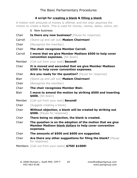## **A script for creating a blank & filling a blank**

A motion with amounts of money is offered, and the chair assumes the motion to create a blank. This is used for money, names, dates, colors, etc.

6 New business Chair **Is there any new business?** [Pause for response] Carroll [Stand up and call out] **Madam Chairman!** Chair [Recognize the member] Chair **The chair recognizes Member Carroll.** Carroll **I move that we give Member Madison \$500 to help cover convention expenses.** [Sit down] Member [Call out from your seat] **Second!** Chair **It is moved and seconded that we give Member Madison \$500 to help cover convention expenses.** Chair **Are you ready for the question?** [Pause for response] Blair [Stand up and call out] **Madam Chairman!** Chair [Recognize the member] Chair **The chair recognizes Member Blair.** Blair **I move to amend the motion by striking \$500 and inserting \$600.** [Sit down] Member [Call out from your seat] **Second!** Chair [Suggest creating a blank] Chair **Without objection, a blank will be created by striking out \$500.** [Pause for response] Chair **There being no objection, the blank is created.** Chair **The question is on the adoption of the motion that we give Member Madison blank dollars to help cover convention expenses.** Chair **The amounts of \$500 and \$600 are suggested.** Chair **Are there any other suggestions for filing the blank?** [Pause for response]

Members [Call out from your seats] **\$750! \$1000!**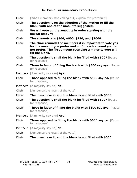**Chair** [When members stop calling out, explain the procedure] Chair **The question is on the adoption of the motion to fill the blank with one of the amounts suggested.** Chair **We will vote on the amounts in order starting with the lowest amount.** Chair **The amounts are \$500, \$600, \$750, and \$1000.** Chair **The chair reminds the members it is important to vote yes for the amount you prefer and no for each amount you do not prefer. The first amount receiving a majority vote will fill the blank.** Chair **The question is shall the blank be filled with \$500?** [Pause for response] Chair **Those in favor of filling the blank with \$500 say aye.** [Pause for response] Members [A minority say aye] **Aye!** Chair **Those opposed to filling the blank with \$500 say no.** [Pause for response] Members [A majority say no] **No!** Chair [Announce the result of the vote] Chair **The noes have it, and the blank is not filled with \$500.** Chair **The question is shall the blank be filled with \$600?** [Pause for response] Chair **Those in favor of filling the blank with \$600 say aye.** [Pause for response] Members [A minority say aye] **Aye!** Chair **Those opposed to filling the blank with \$600 say no.** [Pause for response] Members [A majority say no] **No!** Chair [Announce the result of the vote] Chair **The noes have it, and the blank is not filled with \$600.**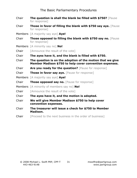| Chair | The question is shall the blank be filled with \$750? [Pause<br>for response]                                         |  |  |  |  |
|-------|-----------------------------------------------------------------------------------------------------------------------|--|--|--|--|
| Chair | Those in favor of filling the blank with \$750 say aye. [Pause<br>for response]                                       |  |  |  |  |
|       | Members [A majority say aye] Aye!                                                                                     |  |  |  |  |
| Chair | <b>Those opposed to filling the blank with \$750 say no.</b> [Pause<br>for response]                                  |  |  |  |  |
|       | Members [A minority say no] No!                                                                                       |  |  |  |  |
| Chair | [Announce the result of the vote]                                                                                     |  |  |  |  |
| Chair | The ayes have it, and the blank is filled with \$750.                                                                 |  |  |  |  |
| Chair | The question is on the adoption of the motion that we give<br>Member Madison \$750 to help cover convention expenses. |  |  |  |  |
| Chair | Are you ready for the question? [Pause for response]                                                                  |  |  |  |  |
| Chair | <b>Those in favor say aye.</b> [Pause for response]                                                                   |  |  |  |  |
|       | Members [A majority say aye] Aye!                                                                                     |  |  |  |  |
| Chair | <b>Those opposed say no.</b> [Pause for response]                                                                     |  |  |  |  |
|       | Members [A minority of members say no] No!                                                                            |  |  |  |  |
| Chair | [Announce the result of the vote]                                                                                     |  |  |  |  |
| Chair | The ayes have it, and the motion is adopted.                                                                          |  |  |  |  |
| Chair | We will give Member Madison \$750 to help cover<br>convention expenses.                                               |  |  |  |  |
| Chair | The treasurer will issue a check for \$750 to Member<br>Madison.                                                      |  |  |  |  |
| Chair | [Proceed to the next business in the order of business]                                                               |  |  |  |  |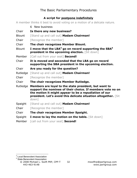# **A script for postpone indefinitely**

A member thinks it best to avoid voting on a motion of a delicate nature.

- 6 New business Chair **Is there any new business?** Blount [Stand up and call out] **Madam Chairman!** Chair [Recognize the member] Chair **The chair recognizes Member Blount.** Blount **I move that the LBA4 go on record supporting the SBA<sup>5</sup> president in the upcoming election.** [Sit down] Member [Call out from your seat] **Second!** Chair **It is moved and seconded that the LBA go on record supporting the SBA president in the upcoming election.** Chair **Are you ready for the question?** Rutledge [Stand up and call out] **Madam Chairman!** Chair [Recognize the member] Chair **The chair recognizes Member Rutledge.** Rutledge **Members are loyal to the state president, but want to support the nominee of their choice. If members vote no on the motion it might appear to be a repudiation of our president. Let's avoid this delicate situation altogether.** [Sit down] Spaight [Stand up and call out] **Madam Chairman!** Chair [Recognize the member] Chair **The chair recognizes Member Spaight.** Spaight **I move to lay the motion on the table.** [Sit down]
- Member [call out from your seat] **Second!**

**Local Benevolent Association** 

<sup>5</sup> State Benevolent Association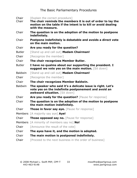| Chair<br>Chair | [Explain the correct procedure]<br>The chair reminds the members it is out of order to lay the<br>motion on the table if the intent is to kill or avoid dealing<br>with the measure. |  |  |  |  |
|----------------|--------------------------------------------------------------------------------------------------------------------------------------------------------------------------------------|--|--|--|--|
| Chair          | The question is on the adoption of the motion to postpone<br>indefinitely.                                                                                                           |  |  |  |  |
| Chair          | Postpone indefinitely is debatable and avoids a direct vote<br>on the main motion.                                                                                                   |  |  |  |  |
| Chair          | Are you ready for the question?                                                                                                                                                      |  |  |  |  |
| <b>Butler</b>  | [Stand up and call out] Madam Chairman!                                                                                                                                              |  |  |  |  |
| Chair          | [Recognize the member]                                                                                                                                                               |  |  |  |  |
| Chair          | The chair recognizes Member Butler.                                                                                                                                                  |  |  |  |  |
| <b>Butler</b>  | I have no qualms about our supporting the president. I<br>suggest we vote yes on the main motion. [Sit down]                                                                         |  |  |  |  |
| <b>Baldwin</b> | [Stand up and call out] Madam Chairman!                                                                                                                                              |  |  |  |  |
| Chair          | [Recognize the member]                                                                                                                                                               |  |  |  |  |
| Chair          | The chair recognizes Member Baldwin.                                                                                                                                                 |  |  |  |  |
| <b>Baldwin</b> | The speaker who said it's a delicate issue is right. Let's<br>vote yes on the indefinite postponement and avoid an<br>awkward situation. [Sit down]                                  |  |  |  |  |
| Chair          | Are you ready for the question? [Pause for response]                                                                                                                                 |  |  |  |  |
| Chair          | The question is on the adoption of the motion to postpone<br>the main motion indefinitely.                                                                                           |  |  |  |  |
| Chair          | <b>Those in favor say aye.</b> [Pause for response]                                                                                                                                  |  |  |  |  |
|                | Members [A majority say aye] Aye!                                                                                                                                                    |  |  |  |  |
| Chair          | Those opposed say no. [Pause for response]                                                                                                                                           |  |  |  |  |
| <b>Members</b> | [A minority of members say no] No!                                                                                                                                                   |  |  |  |  |
| Chair          | [Announce the result of the vote]                                                                                                                                                    |  |  |  |  |
| Chair          | The ayes have it, and the motion is adopted.                                                                                                                                         |  |  |  |  |
| Chair          | The main motion is postponed indefinitely.                                                                                                                                           |  |  |  |  |
| Chair          | [Proceed to the next business in the order of business]                                                                                                                              |  |  |  |  |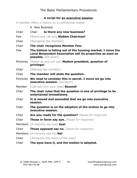## **A script for an executive session**

A member offers a motion on a confidential matter.

|        | 6 New Business                                                                                                                                     |  |  |  |  |  |  |
|--------|----------------------------------------------------------------------------------------------------------------------------------------------------|--|--|--|--|--|--|
| Chair  | Is there any new business?<br>Chair                                                                                                                |  |  |  |  |  |  |
| Few    | [Stand and call out] Madam Chairman!                                                                                                               |  |  |  |  |  |  |
| Chair  | [Recognize the member]                                                                                                                             |  |  |  |  |  |  |
| Chair  | The chair recognizes Member Few.                                                                                                                   |  |  |  |  |  |  |
| Few    | The bottom is falling out of the housing market; I move the<br>Local Benevolent Association sell its properties as soon as<br>possible. [Sit down] |  |  |  |  |  |  |
|        | Pinckney [Stand up and call out] Madam president, question of<br>privilege!                                                                        |  |  |  |  |  |  |
| Chair  | [Address the member]                                                                                                                               |  |  |  |  |  |  |
| Chair  | The member will state the question.                                                                                                                |  |  |  |  |  |  |
|        | Pinckney We need to consider this in secret. I move we go into<br>executive session. [Sit down]                                                    |  |  |  |  |  |  |
| Member | [Call out from your seat] Second!                                                                                                                  |  |  |  |  |  |  |
| Chair  | The chair rules that the question is one of privilege to be<br>entertained immediately.                                                            |  |  |  |  |  |  |
| Chair  | It is moved and seconded that we go into executive<br>session.                                                                                     |  |  |  |  |  |  |
| Chair  | The question is on the adoption of the motion to go into<br>executive session.                                                                     |  |  |  |  |  |  |
| Chair  | Are you ready for the question? [Pause for response]                                                                                               |  |  |  |  |  |  |
| Chair  | <b>Those in favor say aye.</b> [Pause for response]                                                                                                |  |  |  |  |  |  |
|        | Members [A majority say aye] Aye!                                                                                                                  |  |  |  |  |  |  |
| Chair  | Those opposed say no. [Pause for response]                                                                                                         |  |  |  |  |  |  |
|        | Members [A minority say no] No!                                                                                                                    |  |  |  |  |  |  |
| Chair  | [Announce the result of the vote]                                                                                                                  |  |  |  |  |  |  |
| Chair  | The ayes have it, and the motion is adopted.                                                                                                       |  |  |  |  |  |  |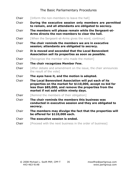| Chair | [Inform the non-members to leave the hall]                                                                                                                                                                             |  |  |  |  |  |
|-------|------------------------------------------------------------------------------------------------------------------------------------------------------------------------------------------------------------------------|--|--|--|--|--|
| Chair | During the executive session only members are permitted<br>to remain, and all attendants are obligated to secrecy.                                                                                                     |  |  |  |  |  |
| Chair | The members will please remain while the Sergeant-at-<br>Arms directs the non-members to clear the hall.                                                                                                               |  |  |  |  |  |
| Chair | [When the Sergeant-at-Arms gives the word, continue]                                                                                                                                                                   |  |  |  |  |  |
| Chair | The chair reminds the members we are in executive<br>session; attendants are obligated to secrecy.                                                                                                                     |  |  |  |  |  |
| Chair | It is moved and seconded that the Local Benevolent<br>Association sell its properties as soon as possible.                                                                                                             |  |  |  |  |  |
| Chair | [Recognize the member who made the motion]                                                                                                                                                                             |  |  |  |  |  |
| Chair | The chair recognizes Member Few.                                                                                                                                                                                       |  |  |  |  |  |
| Chair | [After debate and amendment on the issue, the chair announces<br>the result of the vote]                                                                                                                               |  |  |  |  |  |
| Chair | The ayes have it, and the motion is adopted.                                                                                                                                                                           |  |  |  |  |  |
| Chair | The Local Benevolent Association will put each of its<br>properties on the market for \$110,000, accept no bid for<br>less than \$85,000, and remove the properties from the<br>market if not sold within ninety days. |  |  |  |  |  |
| Chair | [Remind the members of their obligation]                                                                                                                                                                               |  |  |  |  |  |
| Chair | The chair reminds the members this business was<br>conducted in executive session and they are obligated to<br>secrecy.                                                                                                |  |  |  |  |  |
| Chair | The members may divulge the fact that the properties will<br>be offered for \$110,000 each.                                                                                                                            |  |  |  |  |  |
| Chair | The executive session is ended.                                                                                                                                                                                        |  |  |  |  |  |
| Chair | [Proceed with the next business in the order of business]                                                                                                                                                              |  |  |  |  |  |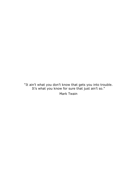"It ain't what you don't know that gets you into trouble. It's what you know for sure that just ain't so."

Mark Twain